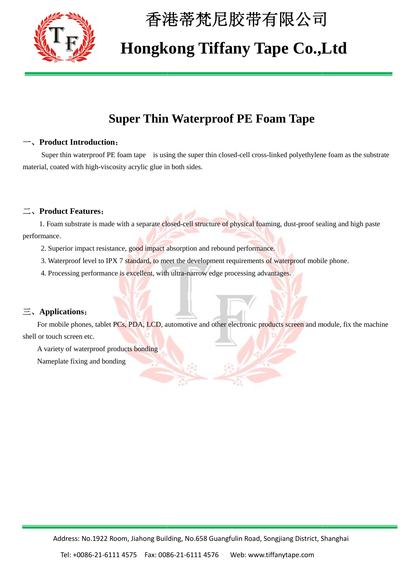

### 香港蒂梵尼胶带有限公司 香港蒂梵尼胶带有限公司

# **Hongkong Tiffany Tape Co.,Ltd Tape Co.,Ltd**

### **Super Thin Waterproof Waterproof PE Foam Tape**

#### 一、**Product Introduction**:

Super thin waterproof PE foam tape is using the super thin closed-cell cross-linked polyethylene foam as the substrate material, coated with high-viscosity acrylic glue in both sides.

#### 二、**Product Features**:

1. Foam substrate is made with a separate closed-cell structure of physical foaming, dust-proof sealing and performance. In tape is using the super thin closed-cell cross-linked polyethylene foam as the substracrylic glue in both sides.<br>
acrylic glue in both sides.<br>
a separate closed-cell structure of physical foaming, dust-proof sealing and

- 2. Superior impact resistance, good impact absorption and rebound performance.
- 3. Waterproof level to IPX 7 standard, to meet the development requirements of waterproof mobile phone.<br>4. Processing performance is excellent, with ultra-narrow edge processing advantages.
- 4. Processing performance is excellent, with ultra-narrow edge processing advantages.

### 三、**Applications**:

For mobile phones, tablet PCs, PDA, LCD, automotive and other electronic products screen and module, fix the machine shell or touch screen etc.

A variety of waterproof products bonding

Nameplate fixing and bonding